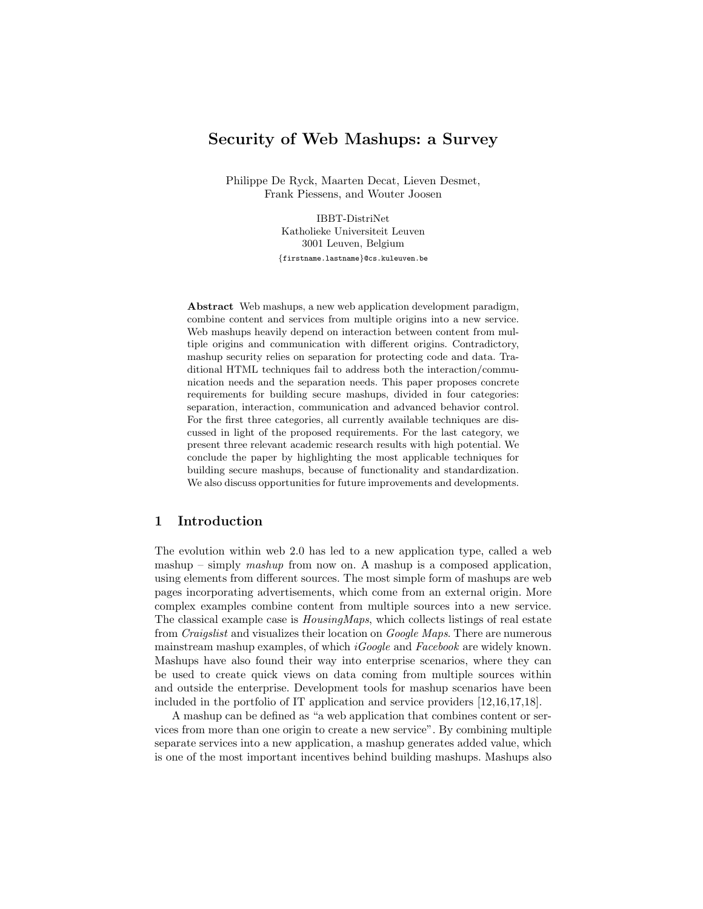# Security of Web Mashups: a Survey

Philippe De Ryck, Maarten Decat, Lieven Desmet, Frank Piessens, and Wouter Joosen

> IBBT-DistriNet Katholieke Universiteit Leuven 3001 Leuven, Belgium {firstname.lastname}@cs.kuleuven.be

Abstract Web mashups, a new web application development paradigm, combine content and services from multiple origins into a new service. Web mashups heavily depend on interaction between content from multiple origins and communication with different origins. Contradictory, mashup security relies on separation for protecting code and data. Traditional HTML techniques fail to address both the interaction/communication needs and the separation needs. This paper proposes concrete requirements for building secure mashups, divided in four categories: separation, interaction, communication and advanced behavior control. For the first three categories, all currently available techniques are discussed in light of the proposed requirements. For the last category, we present three relevant academic research results with high potential. We conclude the paper by highlighting the most applicable techniques for building secure mashups, because of functionality and standardization. We also discuss opportunities for future improvements and developments.

# 1 Introduction

The evolution within web 2.0 has led to a new application type, called a web mashup – simply mashup from now on. A mashup is a composed application, using elements from different sources. The most simple form of mashups are web pages incorporating advertisements, which come from an external origin. More complex examples combine content from multiple sources into a new service. The classical example case is HousingMaps, which collects listings of real estate from Craigslist and visualizes their location on Google Maps. There are numerous mainstream mashup examples, of which *iGoogle* and *Facebook* are widely known. Mashups have also found their way into enterprise scenarios, where they can be used to create quick views on data coming from multiple sources within and outside the enterprise. Development tools for mashup scenarios have been included in the portfolio of IT application and service providers [12,16,17,18].

A mashup can be defined as "a web application that combines content or services from more than one origin to create a new service". By combining multiple separate services into a new application, a mashup generates added value, which is one of the most important incentives behind building mashups. Mashups also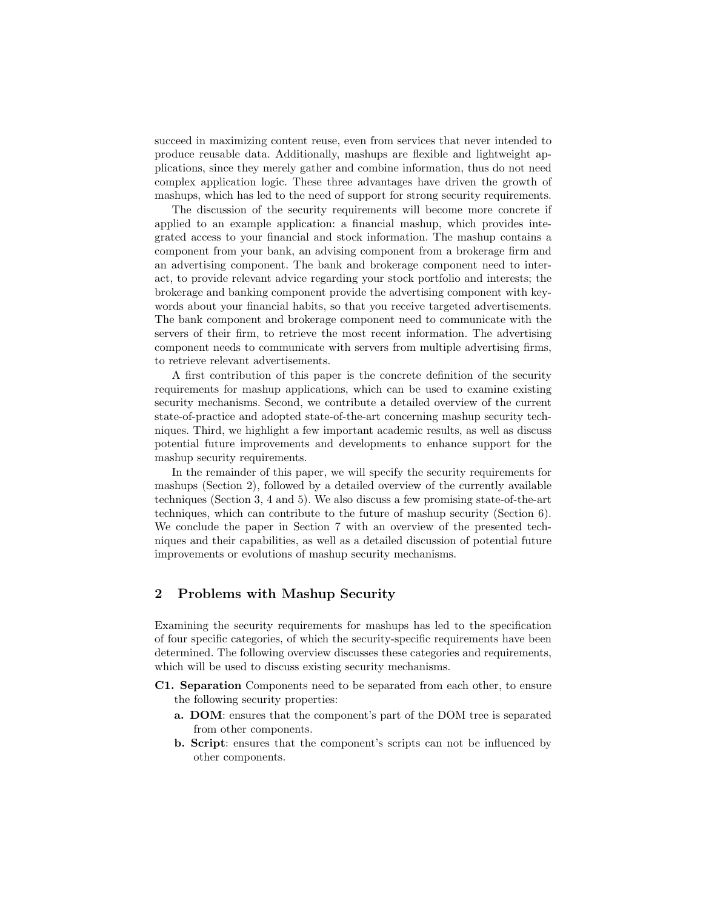succeed in maximizing content reuse, even from services that never intended to produce reusable data. Additionally, mashups are flexible and lightweight applications, since they merely gather and combine information, thus do not need complex application logic. These three advantages have driven the growth of mashups, which has led to the need of support for strong security requirements.

The discussion of the security requirements will become more concrete if applied to an example application: a financial mashup, which provides integrated access to your financial and stock information. The mashup contains a component from your bank, an advising component from a brokerage firm and an advertising component. The bank and brokerage component need to interact, to provide relevant advice regarding your stock portfolio and interests; the brokerage and banking component provide the advertising component with keywords about your financial habits, so that you receive targeted advertisements. The bank component and brokerage component need to communicate with the servers of their firm, to retrieve the most recent information. The advertising component needs to communicate with servers from multiple advertising firms, to retrieve relevant advertisements.

A first contribution of this paper is the concrete definition of the security requirements for mashup applications, which can be used to examine existing security mechanisms. Second, we contribute a detailed overview of the current state-of-practice and adopted state-of-the-art concerning mashup security techniques. Third, we highlight a few important academic results, as well as discuss potential future improvements and developments to enhance support for the mashup security requirements.

In the remainder of this paper, we will specify the security requirements for mashups (Section 2), followed by a detailed overview of the currently available techniques (Section 3, 4 and 5). We also discuss a few promising state-of-the-art techniques, which can contribute to the future of mashup security (Section 6). We conclude the paper in Section 7 with an overview of the presented techniques and their capabilities, as well as a detailed discussion of potential future improvements or evolutions of mashup security mechanisms.

# 2 Problems with Mashup Security

Examining the security requirements for mashups has led to the specification of four specific categories, of which the security-specific requirements have been determined. The following overview discusses these categories and requirements, which will be used to discuss existing security mechanisms.

- C1. Separation Components need to be separated from each other, to ensure the following security properties:
	- a. DOM: ensures that the component's part of the DOM tree is separated from other components.
	- b. Script: ensures that the component's scripts can not be influenced by other components.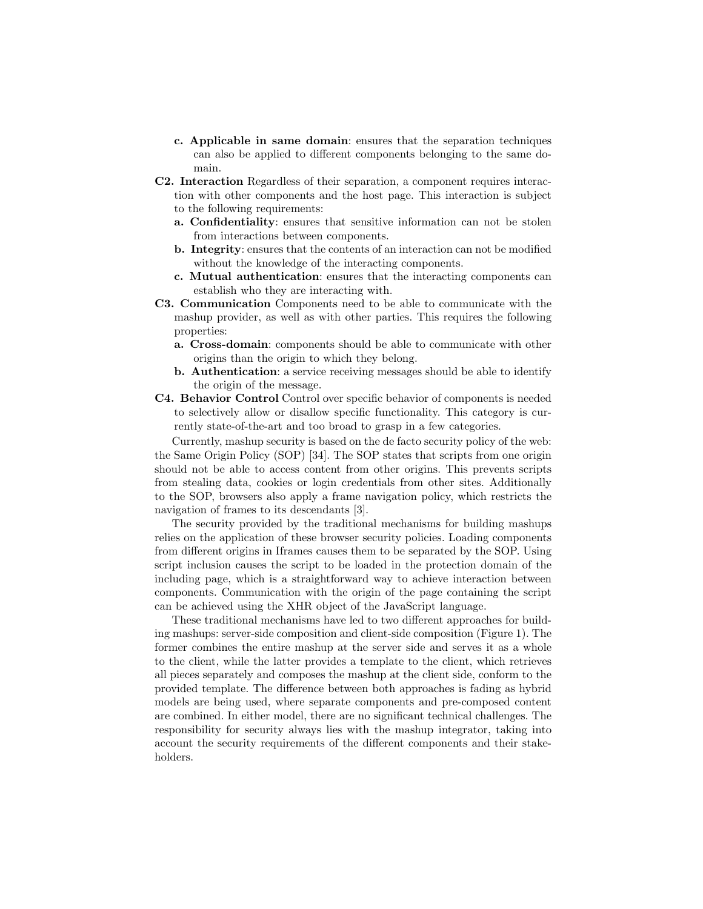- c. Applicable in same domain: ensures that the separation techniques can also be applied to different components belonging to the same domain.
- C2. Interaction Regardless of their separation, a component requires interaction with other components and the host page. This interaction is subject to the following requirements:
	- a. Confidentiality: ensures that sensitive information can not be stolen from interactions between components.
	- b. Integrity: ensures that the contents of an interaction can not be modified without the knowledge of the interacting components.
	- c. Mutual authentication: ensures that the interacting components can establish who they are interacting with.
- C3. Communication Components need to be able to communicate with the mashup provider, as well as with other parties. This requires the following properties:
	- a. Cross-domain: components should be able to communicate with other origins than the origin to which they belong.
	- b. Authentication: a service receiving messages should be able to identify the origin of the message.
- C4. Behavior Control Control over specific behavior of components is needed to selectively allow or disallow specific functionality. This category is currently state-of-the-art and too broad to grasp in a few categories.

Currently, mashup security is based on the de facto security policy of the web: the Same Origin Policy (SOP) [34]. The SOP states that scripts from one origin should not be able to access content from other origins. This prevents scripts from stealing data, cookies or login credentials from other sites. Additionally to the SOP, browsers also apply a frame navigation policy, which restricts the navigation of frames to its descendants [3].

The security provided by the traditional mechanisms for building mashups relies on the application of these browser security policies. Loading components from different origins in Iframes causes them to be separated by the SOP. Using script inclusion causes the script to be loaded in the protection domain of the including page, which is a straightforward way to achieve interaction between components. Communication with the origin of the page containing the script can be achieved using the XHR object of the JavaScript language.

These traditional mechanisms have led to two different approaches for building mashups: server-side composition and client-side composition (Figure 1). The former combines the entire mashup at the server side and serves it as a whole to the client, while the latter provides a template to the client, which retrieves all pieces separately and composes the mashup at the client side, conform to the provided template. The difference between both approaches is fading as hybrid models are being used, where separate components and pre-composed content are combined. In either model, there are no significant technical challenges. The responsibility for security always lies with the mashup integrator, taking into account the security requirements of the different components and their stakeholders.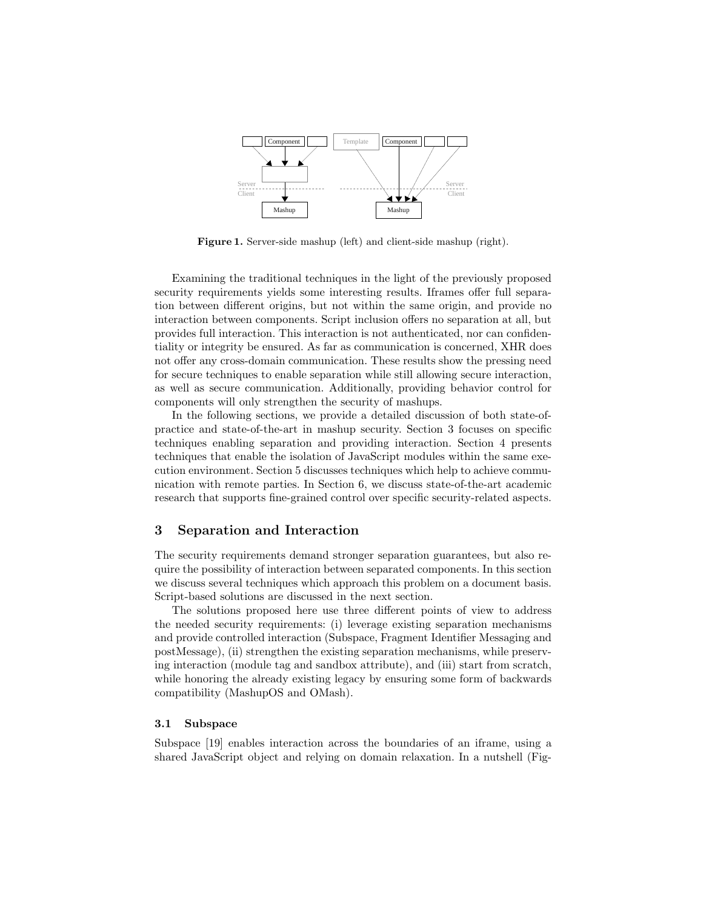

Figure 1. Server-side mashup (left) and client-side mashup (right).

Examining the traditional techniques in the light of the previously proposed security requirements yields some interesting results. Iframes offer full separation between different origins, but not within the same origin, and provide no interaction between components. Script inclusion offers no separation at all, but provides full interaction. This interaction is not authenticated, nor can confidentiality or integrity be ensured. As far as communication is concerned, XHR does not offer any cross-domain communication. These results show the pressing need for secure techniques to enable separation while still allowing secure interaction, as well as secure communication. Additionally, providing behavior control for components will only strengthen the security of mashups.

In the following sections, we provide a detailed discussion of both state-ofpractice and state-of-the-art in mashup security. Section 3 focuses on specific techniques enabling separation and providing interaction. Section 4 presents techniques that enable the isolation of JavaScript modules within the same execution environment. Section 5 discusses techniques which help to achieve communication with remote parties. In Section 6, we discuss state-of-the-art academic research that supports fine-grained control over specific security-related aspects.

# 3 Separation and Interaction

The security requirements demand stronger separation guarantees, but also require the possibility of interaction between separated components. In this section we discuss several techniques which approach this problem on a document basis. Script-based solutions are discussed in the next section.

The solutions proposed here use three different points of view to address the needed security requirements: (i) leverage existing separation mechanisms and provide controlled interaction (Subspace, Fragment Identifier Messaging and postMessage), (ii) strengthen the existing separation mechanisms, while preserving interaction (module tag and sandbox attribute), and (iii) start from scratch, while honoring the already existing legacy by ensuring some form of backwards compatibility (MashupOS and OMash).

#### 3.1 Subspace

Subspace [19] enables interaction across the boundaries of an iframe, using a shared JavaScript object and relying on domain relaxation. In a nutshell (Fig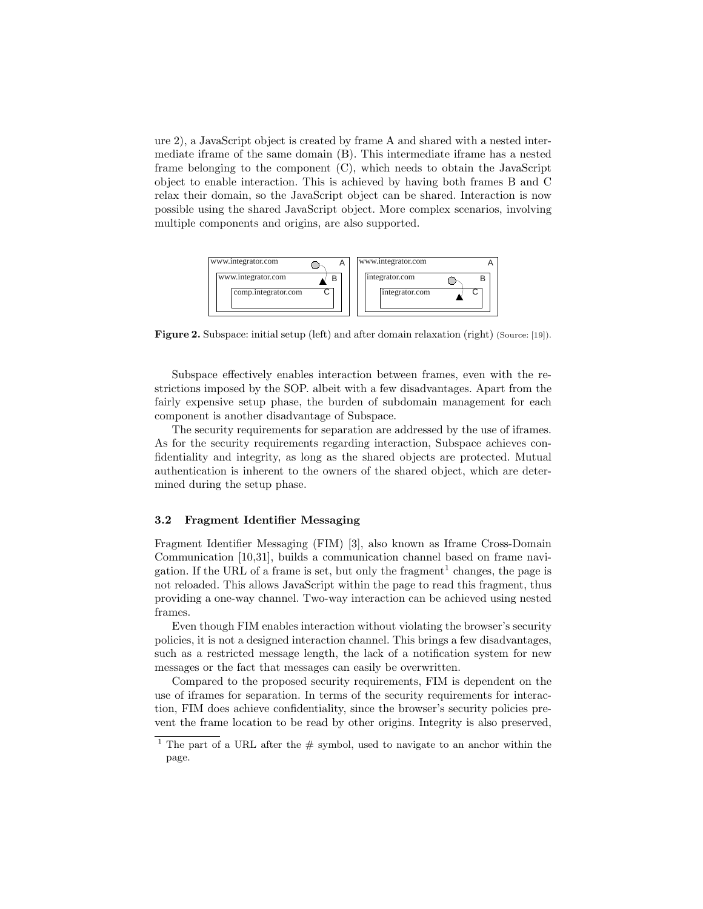ure 2), a JavaScript object is created by frame A and shared with a nested intermediate iframe of the same domain (B). This intermediate iframe has a nested frame belonging to the component (C), which needs to obtain the JavaScript object to enable interaction. This is achieved by having both frames B and C relax their domain, so the JavaScript object can be shared. Interaction is now possible using the shared JavaScript object. More complex scenarios, involving multiple components and origins, are also supported.



Figure 2. Subspace: initial setup (left) and after domain relaxation (right) (Source: [19]).

Subspace effectively enables interaction between frames, even with the restrictions imposed by the SOP. albeit with a few disadvantages. Apart from the fairly expensive setup phase, the burden of subdomain management for each component is another disadvantage of Subspace.

The security requirements for separation are addressed by the use of iframes. As for the security requirements regarding interaction, Subspace achieves confidentiality and integrity, as long as the shared objects are protected. Mutual authentication is inherent to the owners of the shared object, which are determined during the setup phase.

#### 3.2 Fragment Identifier Messaging

Fragment Identifier Messaging (FIM) [3], also known as Iframe Cross-Domain Communication [10,31], builds a communication channel based on frame navigation. If the URL of a frame is set, but only the fragment<sup>1</sup> changes, the page is not reloaded. This allows JavaScript within the page to read this fragment, thus providing a one-way channel. Two-way interaction can be achieved using nested frames.

Even though FIM enables interaction without violating the browser's security policies, it is not a designed interaction channel. This brings a few disadvantages, such as a restricted message length, the lack of a notification system for new messages or the fact that messages can easily be overwritten.

Compared to the proposed security requirements, FIM is dependent on the use of iframes for separation. In terms of the security requirements for interaction, FIM does achieve confidentiality, since the browser's security policies prevent the frame location to be read by other origins. Integrity is also preserved,

<sup>&</sup>lt;sup>1</sup> The part of a URL after the  $#$  symbol, used to navigate to an anchor within the page.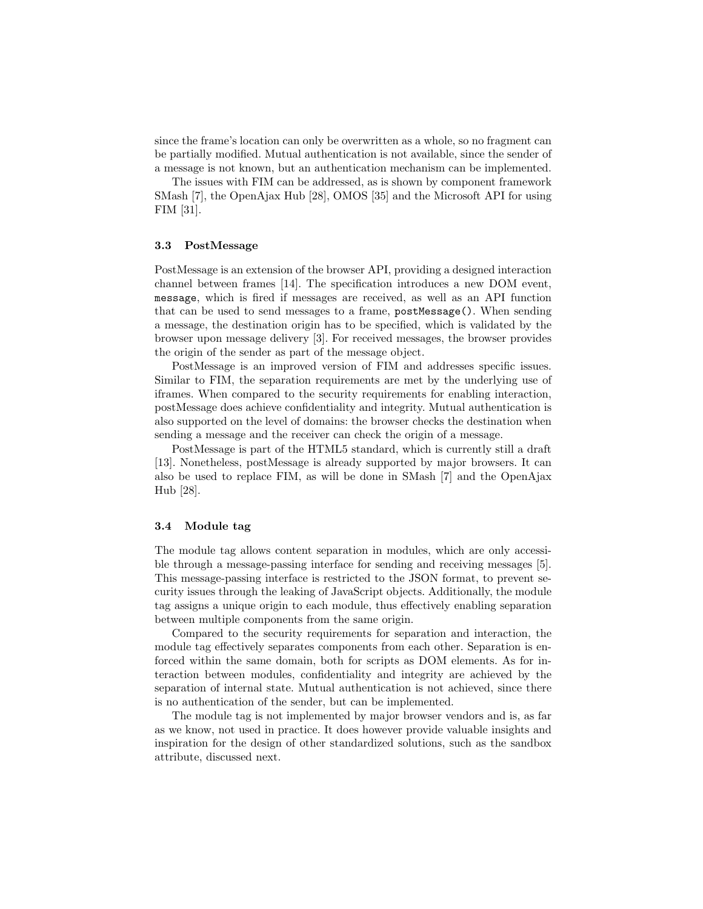since the frame's location can only be overwritten as a whole, so no fragment can be partially modified. Mutual authentication is not available, since the sender of a message is not known, but an authentication mechanism can be implemented.

The issues with FIM can be addressed, as is shown by component framework SMash [7], the OpenAjax Hub [28], OMOS [35] and the Microsoft API for using FIM [31].

### 3.3 PostMessage

PostMessage is an extension of the browser API, providing a designed interaction channel between frames [14]. The specification introduces a new DOM event, message, which is fired if messages are received, as well as an API function that can be used to send messages to a frame, postMessage(). When sending a message, the destination origin has to be specified, which is validated by the browser upon message delivery [3]. For received messages, the browser provides the origin of the sender as part of the message object.

PostMessage is an improved version of FIM and addresses specific issues. Similar to FIM, the separation requirements are met by the underlying use of iframes. When compared to the security requirements for enabling interaction, postMessage does achieve confidentiality and integrity. Mutual authentication is also supported on the level of domains: the browser checks the destination when sending a message and the receiver can check the origin of a message.

PostMessage is part of the HTML5 standard, which is currently still a draft [13]. Nonetheless, postMessage is already supported by major browsers. It can also be used to replace FIM, as will be done in SMash [7] and the OpenAjax Hub [28].

#### 3.4 Module tag

The module tag allows content separation in modules, which are only accessible through a message-passing interface for sending and receiving messages [5]. This message-passing interface is restricted to the JSON format, to prevent security issues through the leaking of JavaScript objects. Additionally, the module tag assigns a unique origin to each module, thus effectively enabling separation between multiple components from the same origin.

Compared to the security requirements for separation and interaction, the module tag effectively separates components from each other. Separation is enforced within the same domain, both for scripts as DOM elements. As for interaction between modules, confidentiality and integrity are achieved by the separation of internal state. Mutual authentication is not achieved, since there is no authentication of the sender, but can be implemented.

The module tag is not implemented by major browser vendors and is, as far as we know, not used in practice. It does however provide valuable insights and inspiration for the design of other standardized solutions, such as the sandbox attribute, discussed next.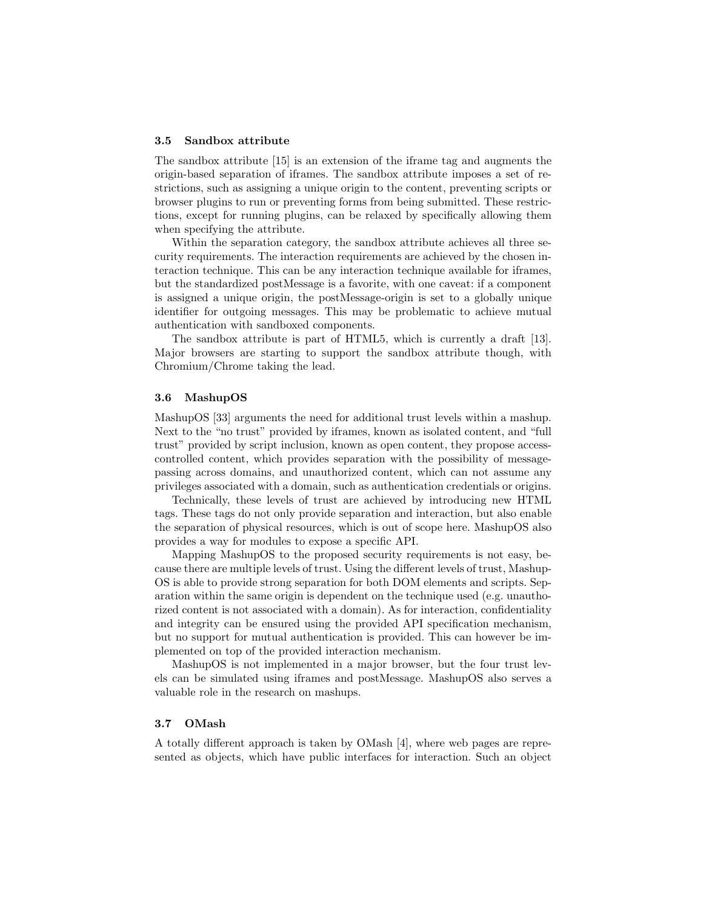#### 3.5 Sandbox attribute

The sandbox attribute [15] is an extension of the iframe tag and augments the origin-based separation of iframes. The sandbox attribute imposes a set of restrictions, such as assigning a unique origin to the content, preventing scripts or browser plugins to run or preventing forms from being submitted. These restrictions, except for running plugins, can be relaxed by specifically allowing them when specifying the attribute.

Within the separation category, the sandbox attribute achieves all three security requirements. The interaction requirements are achieved by the chosen interaction technique. This can be any interaction technique available for iframes, but the standardized postMessage is a favorite, with one caveat: if a component is assigned a unique origin, the postMessage-origin is set to a globally unique identifier for outgoing messages. This may be problematic to achieve mutual authentication with sandboxed components.

The sandbox attribute is part of HTML5, which is currently a draft [13]. Major browsers are starting to support the sandbox attribute though, with Chromium/Chrome taking the lead.

#### 3.6 MashupOS

MashupOS [33] arguments the need for additional trust levels within a mashup. Next to the "no trust" provided by iframes, known as isolated content, and "full trust" provided by script inclusion, known as open content, they propose accesscontrolled content, which provides separation with the possibility of messagepassing across domains, and unauthorized content, which can not assume any privileges associated with a domain, such as authentication credentials or origins.

Technically, these levels of trust are achieved by introducing new HTML tags. These tags do not only provide separation and interaction, but also enable the separation of physical resources, which is out of scope here. MashupOS also provides a way for modules to expose a specific API.

Mapping MashupOS to the proposed security requirements is not easy, because there are multiple levels of trust. Using the different levels of trust, Mashup-OS is able to provide strong separation for both DOM elements and scripts. Separation within the same origin is dependent on the technique used (e.g. unauthorized content is not associated with a domain). As for interaction, confidentiality and integrity can be ensured using the provided API specification mechanism, but no support for mutual authentication is provided. This can however be implemented on top of the provided interaction mechanism.

MashupOS is not implemented in a major browser, but the four trust levels can be simulated using iframes and postMessage. MashupOS also serves a valuable role in the research on mashups.

#### 3.7 OMash

A totally different approach is taken by OMash [4], where web pages are represented as objects, which have public interfaces for interaction. Such an object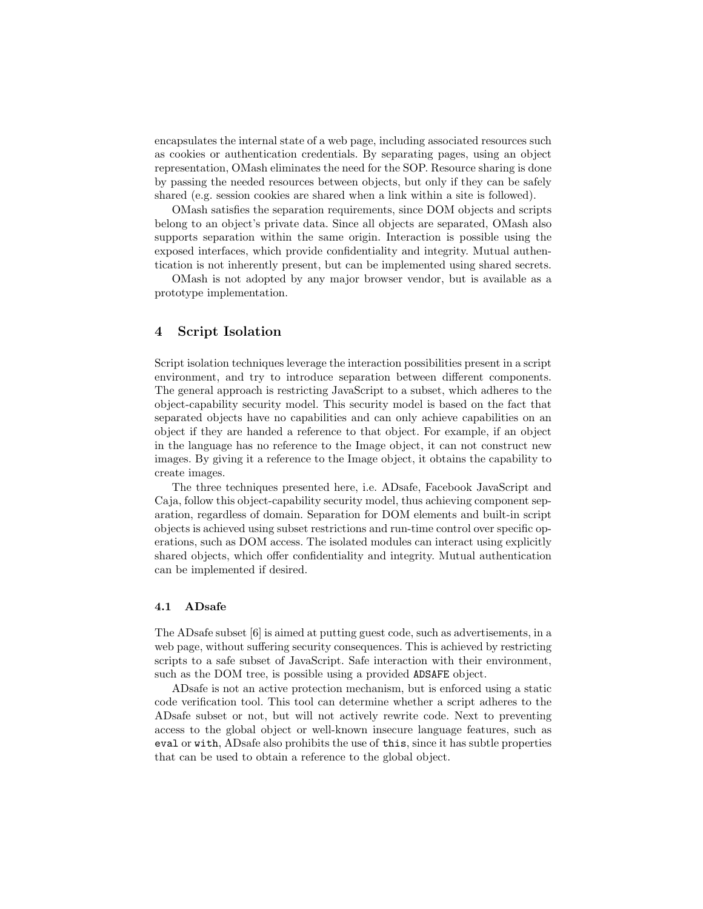encapsulates the internal state of a web page, including associated resources such as cookies or authentication credentials. By separating pages, using an object representation, OMash eliminates the need for the SOP. Resource sharing is done by passing the needed resources between objects, but only if they can be safely shared (e.g. session cookies are shared when a link within a site is followed).

OMash satisfies the separation requirements, since DOM objects and scripts belong to an object's private data. Since all objects are separated, OMash also supports separation within the same origin. Interaction is possible using the exposed interfaces, which provide confidentiality and integrity. Mutual authentication is not inherently present, but can be implemented using shared secrets.

OMash is not adopted by any major browser vendor, but is available as a prototype implementation.

## 4 Script Isolation

Script isolation techniques leverage the interaction possibilities present in a script environment, and try to introduce separation between different components. The general approach is restricting JavaScript to a subset, which adheres to the object-capability security model. This security model is based on the fact that separated objects have no capabilities and can only achieve capabilities on an object if they are handed a reference to that object. For example, if an object in the language has no reference to the Image object, it can not construct new images. By giving it a reference to the Image object, it obtains the capability to create images.

The three techniques presented here, i.e. ADsafe, Facebook JavaScript and Caja, follow this object-capability security model, thus achieving component separation, regardless of domain. Separation for DOM elements and built-in script objects is achieved using subset restrictions and run-time control over specific operations, such as DOM access. The isolated modules can interact using explicitly shared objects, which offer confidentiality and integrity. Mutual authentication can be implemented if desired.

#### 4.1 ADsafe

The ADsafe subset [6] is aimed at putting guest code, such as advertisements, in a web page, without suffering security consequences. This is achieved by restricting scripts to a safe subset of JavaScript. Safe interaction with their environment, such as the DOM tree, is possible using a provided ADSAFE object.

ADsafe is not an active protection mechanism, but is enforced using a static code verification tool. This tool can determine whether a script adheres to the ADsafe subset or not, but will not actively rewrite code. Next to preventing access to the global object or well-known insecure language features, such as eval or with, ADsafe also prohibits the use of this, since it has subtle properties that can be used to obtain a reference to the global object.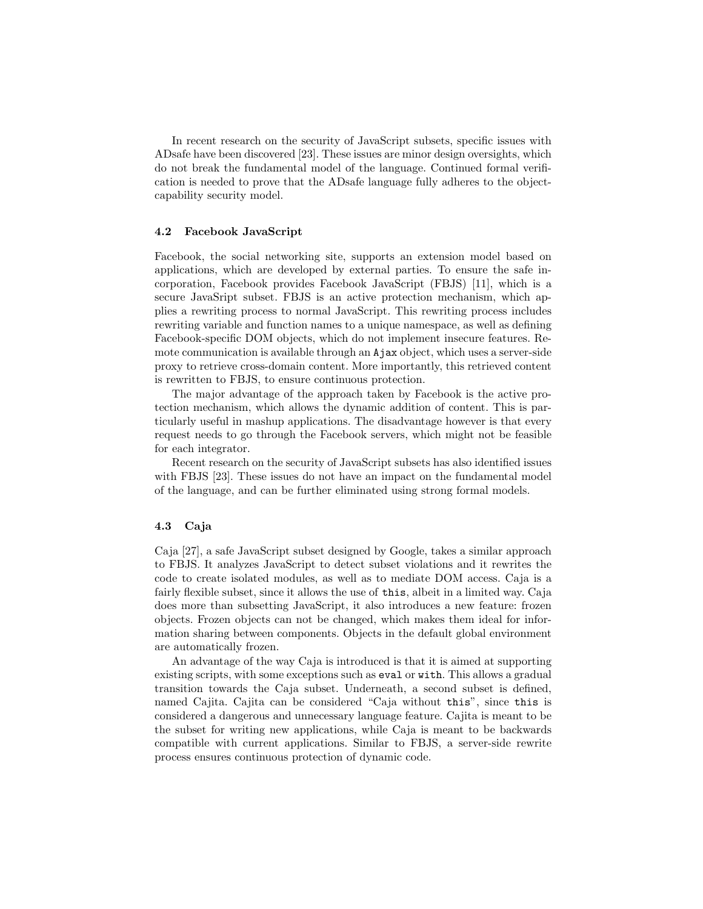In recent research on the security of JavaScript subsets, specific issues with ADsafe have been discovered [23]. These issues are minor design oversights, which do not break the fundamental model of the language. Continued formal verification is needed to prove that the ADsafe language fully adheres to the objectcapability security model.

### 4.2 Facebook JavaScript

Facebook, the social networking site, supports an extension model based on applications, which are developed by external parties. To ensure the safe incorporation, Facebook provides Facebook JavaScript (FBJS) [11], which is a secure JavaSript subset. FBJS is an active protection mechanism, which applies a rewriting process to normal JavaScript. This rewriting process includes rewriting variable and function names to a unique namespace, as well as defining Facebook-specific DOM objects, which do not implement insecure features. Remote communication is available through an Ajax object, which uses a server-side proxy to retrieve cross-domain content. More importantly, this retrieved content is rewritten to FBJS, to ensure continuous protection.

The major advantage of the approach taken by Facebook is the active protection mechanism, which allows the dynamic addition of content. This is particularly useful in mashup applications. The disadvantage however is that every request needs to go through the Facebook servers, which might not be feasible for each integrator.

Recent research on the security of JavaScript subsets has also identified issues with FBJS [23]. These issues do not have an impact on the fundamental model of the language, and can be further eliminated using strong formal models.

### 4.3 Caja

Caja [27], a safe JavaScript subset designed by Google, takes a similar approach to FBJS. It analyzes JavaScript to detect subset violations and it rewrites the code to create isolated modules, as well as to mediate DOM access. Caja is a fairly flexible subset, since it allows the use of this, albeit in a limited way. Caja does more than subsetting JavaScript, it also introduces a new feature: frozen objects. Frozen objects can not be changed, which makes them ideal for information sharing between components. Objects in the default global environment are automatically frozen.

An advantage of the way Caja is introduced is that it is aimed at supporting existing scripts, with some exceptions such as eval or with. This allows a gradual transition towards the Caja subset. Underneath, a second subset is defined, named Cajita. Cajita can be considered "Caja without this", since this is considered a dangerous and unnecessary language feature. Cajita is meant to be the subset for writing new applications, while Caja is meant to be backwards compatible with current applications. Similar to FBJS, a server-side rewrite process ensures continuous protection of dynamic code.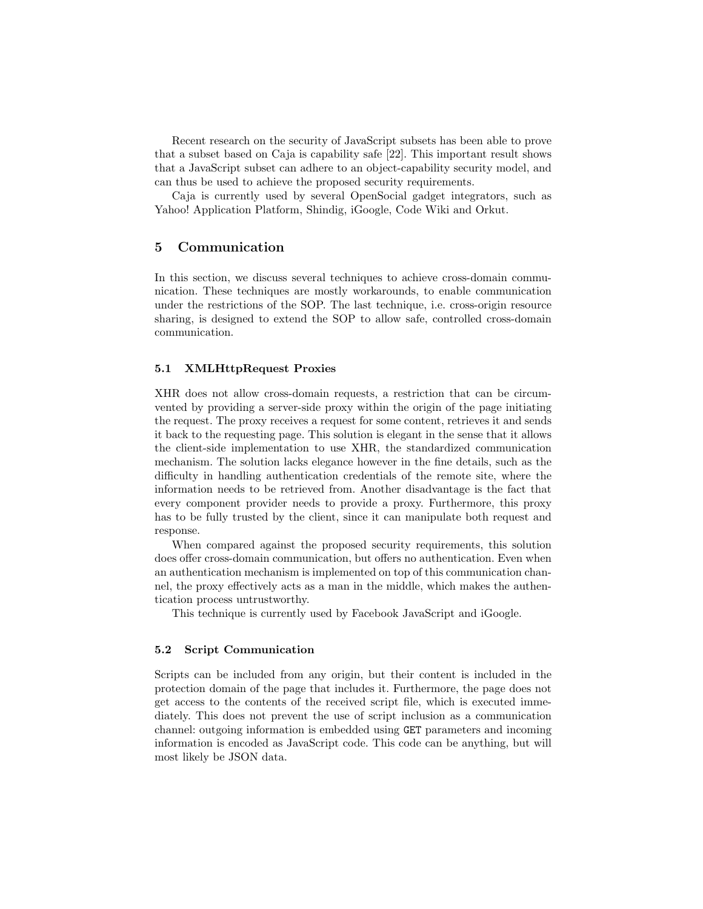Recent research on the security of JavaScript subsets has been able to prove that a subset based on Caja is capability safe [22]. This important result shows that a JavaScript subset can adhere to an object-capability security model, and can thus be used to achieve the proposed security requirements.

Caja is currently used by several OpenSocial gadget integrators, such as Yahoo! Application Platform, Shindig, iGoogle, Code Wiki and Orkut.

# 5 Communication

In this section, we discuss several techniques to achieve cross-domain communication. These techniques are mostly workarounds, to enable communication under the restrictions of the SOP. The last technique, i.e. cross-origin resource sharing, is designed to extend the SOP to allow safe, controlled cross-domain communication.

#### 5.1 XMLHttpRequest Proxies

XHR does not allow cross-domain requests, a restriction that can be circumvented by providing a server-side proxy within the origin of the page initiating the request. The proxy receives a request for some content, retrieves it and sends it back to the requesting page. This solution is elegant in the sense that it allows the client-side implementation to use XHR, the standardized communication mechanism. The solution lacks elegance however in the fine details, such as the difficulty in handling authentication credentials of the remote site, where the information needs to be retrieved from. Another disadvantage is the fact that every component provider needs to provide a proxy. Furthermore, this proxy has to be fully trusted by the client, since it can manipulate both request and response.

When compared against the proposed security requirements, this solution does offer cross-domain communication, but offers no authentication. Even when an authentication mechanism is implemented on top of this communication channel, the proxy effectively acts as a man in the middle, which makes the authentication process untrustworthy.

This technique is currently used by Facebook JavaScript and iGoogle.

# 5.2 Script Communication

Scripts can be included from any origin, but their content is included in the protection domain of the page that includes it. Furthermore, the page does not get access to the contents of the received script file, which is executed immediately. This does not prevent the use of script inclusion as a communication channel: outgoing information is embedded using GET parameters and incoming information is encoded as JavaScript code. This code can be anything, but will most likely be JSON data.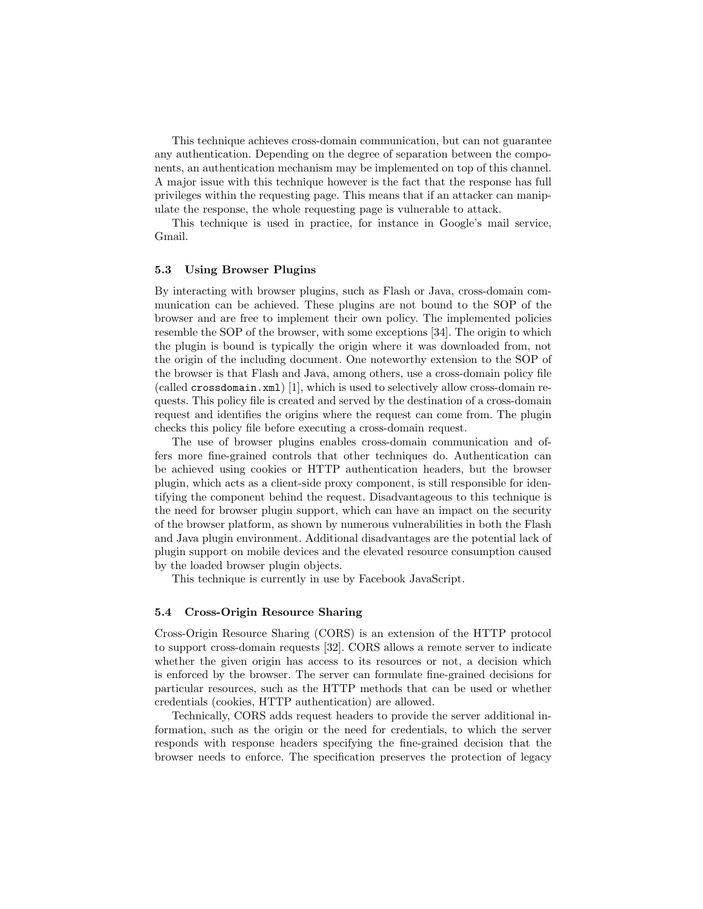This technique achieves cross-domain communication, but can not guarantee any authentication. Depending on the degree of separation between the components, an authentication mechanism may be implemented on top of this channel. A major issue with this technique however is the fact that the response has full privileges within the requesting page. This means that if an attacker can manipulate the response, the whole requesting page is vulnerable to attack.

This technique is used in practice, for instance in Google's mail service, Gmail.

#### 5.3 Using Browser Plugins

By interacting with browser plugins, such as Flash or Java, cross-domain communication can be achieved. These plugins are not bound to the SOP of the browser and are free to implement their own policy. The implemented policies resemble the SOP of the browser, with some exceptions [34]. The origin to which the plugin is bound is typically the origin where it was downloaded from, not the origin of the including document. One noteworthy extension to the SOP of the browser is that Flash and Java, among others, use a cross-domain policy file (called  $\cosh(x) = \ln(1)$ , which is used to selectively allow cross-domain requests. This policy file is created and served by the destination of a cross-domain request and identifies the origins where the request can come from. The plugin checks this policy file before executing a cross-domain request.

The use of browser plugins enables cross-domain communication and offers more fine-grained controls that other techniques do. Authentication can be achieved using cookies or HTTP authentication headers, but the browser plugin, which acts as a client-side proxy component, is still responsible for identifying the component behind the request. Disadvantageous to this technique is the need for browser plugin support, which can have an impact on the security of the browser platform, as shown by numerous vulnerabilities in both the Flash and Java plugin environment. Additional disadvantages are the potential lack of plugin support on mobile devices and the elevated resource consumption caused by the loaded browser plugin objects.

This technique is currently in use by Facebook JavaScript.

### 5.4 Cross-Origin Resource Sharing

Cross-Origin Resource Sharing (CORS) is an extension of the HTTP protocol to support cross-domain requests [32]. CORS allows a remote server to indicate whether the given origin has access to its resources or not, a decision which is enforced by the browser. The server can formulate fine-grained decisions for particular resources, such as the HTTP methods that can be used or whether credentials (cookies, HTTP authentication) are allowed.

Technically, CORS adds request headers to provide the server additional information, such as the origin or the need for credentials, to which the server responds with response headers specifying the fine-grained decision that the browser needs to enforce. The specification preserves the protection of legacy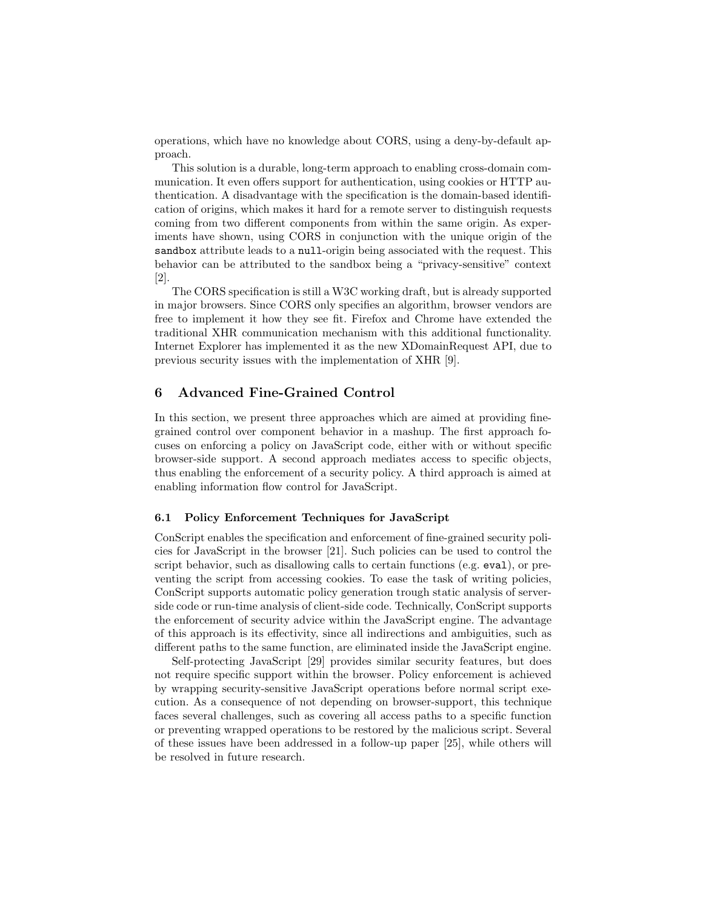operations, which have no knowledge about CORS, using a deny-by-default approach.

This solution is a durable, long-term approach to enabling cross-domain communication. It even offers support for authentication, using cookies or HTTP authentication. A disadvantage with the specification is the domain-based identification of origins, which makes it hard for a remote server to distinguish requests coming from two different components from within the same origin. As experiments have shown, using CORS in conjunction with the unique origin of the sandbox attribute leads to a null-origin being associated with the request. This behavior can be attributed to the sandbox being a "privacy-sensitive" context [2].

The CORS specification is still a W3C working draft, but is already supported in major browsers. Since CORS only specifies an algorithm, browser vendors are free to implement it how they see fit. Firefox and Chrome have extended the traditional XHR communication mechanism with this additional functionality. Internet Explorer has implemented it as the new XDomainRequest API, due to previous security issues with the implementation of XHR [9].

# 6 Advanced Fine-Grained Control

In this section, we present three approaches which are aimed at providing finegrained control over component behavior in a mashup. The first approach focuses on enforcing a policy on JavaScript code, either with or without specific browser-side support. A second approach mediates access to specific objects, thus enabling the enforcement of a security policy. A third approach is aimed at enabling information flow control for JavaScript.

### 6.1 Policy Enforcement Techniques for JavaScript

ConScript enables the specification and enforcement of fine-grained security policies for JavaScript in the browser [21]. Such policies can be used to control the script behavior, such as disallowing calls to certain functions (e.g. eval), or preventing the script from accessing cookies. To ease the task of writing policies, ConScript supports automatic policy generation trough static analysis of serverside code or run-time analysis of client-side code. Technically, ConScript supports the enforcement of security advice within the JavaScript engine. The advantage of this approach is its effectivity, since all indirections and ambiguities, such as different paths to the same function, are eliminated inside the JavaScript engine.

Self-protecting JavaScript [29] provides similar security features, but does not require specific support within the browser. Policy enforcement is achieved by wrapping security-sensitive JavaScript operations before normal script execution. As a consequence of not depending on browser-support, this technique faces several challenges, such as covering all access paths to a specific function or preventing wrapped operations to be restored by the malicious script. Several of these issues have been addressed in a follow-up paper [25], while others will be resolved in future research.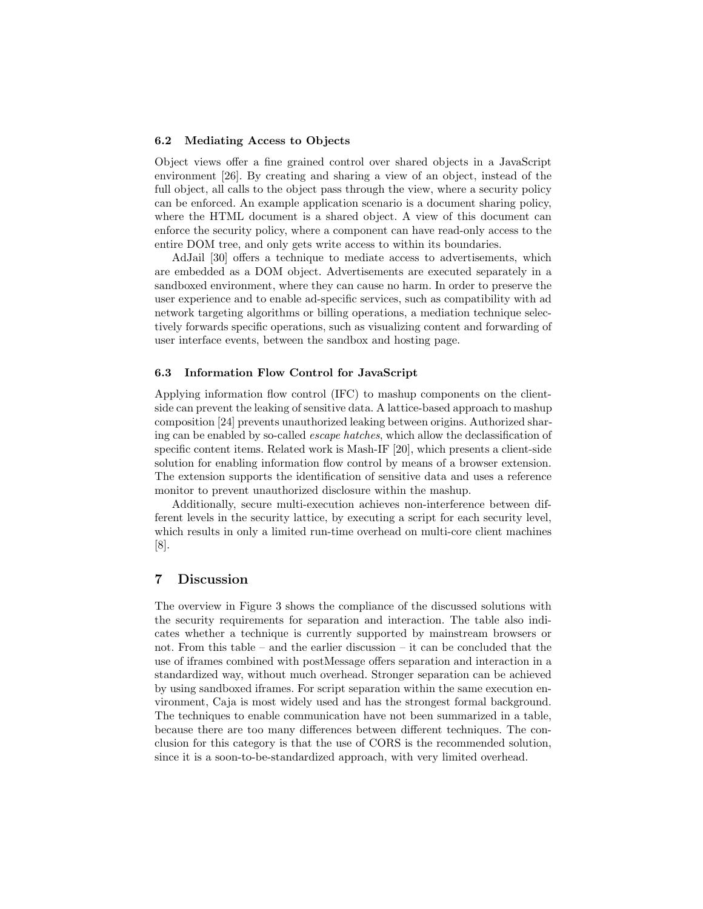#### 6.2 Mediating Access to Objects

Object views offer a fine grained control over shared objects in a JavaScript environment [26]. By creating and sharing a view of an object, instead of the full object, all calls to the object pass through the view, where a security policy can be enforced. An example application scenario is a document sharing policy, where the HTML document is a shared object. A view of this document can enforce the security policy, where a component can have read-only access to the entire DOM tree, and only gets write access to within its boundaries.

AdJail [30] offers a technique to mediate access to advertisements, which are embedded as a DOM object. Advertisements are executed separately in a sandboxed environment, where they can cause no harm. In order to preserve the user experience and to enable ad-specific services, such as compatibility with ad network targeting algorithms or billing operations, a mediation technique selectively forwards specific operations, such as visualizing content and forwarding of user interface events, between the sandbox and hosting page.

### 6.3 Information Flow Control for JavaScript

Applying information flow control (IFC) to mashup components on the clientside can prevent the leaking of sensitive data. A lattice-based approach to mashup composition [24] prevents unauthorized leaking between origins. Authorized sharing can be enabled by so-called escape hatches, which allow the declassification of specific content items. Related work is Mash-IF [20], which presents a client-side solution for enabling information flow control by means of a browser extension. The extension supports the identification of sensitive data and uses a reference monitor to prevent unauthorized disclosure within the mashup.

Additionally, secure multi-execution achieves non-interference between different levels in the security lattice, by executing a script for each security level, which results in only a limited run-time overhead on multi-core client machines [8].

# 7 Discussion

The overview in Figure 3 shows the compliance of the discussed solutions with the security requirements for separation and interaction. The table also indicates whether a technique is currently supported by mainstream browsers or not. From this table – and the earlier discussion – it can be concluded that the use of iframes combined with postMessage offers separation and interaction in a standardized way, without much overhead. Stronger separation can be achieved by using sandboxed iframes. For script separation within the same execution environment, Caja is most widely used and has the strongest formal background. The techniques to enable communication have not been summarized in a table, because there are too many differences between different techniques. The conclusion for this category is that the use of CORS is the recommended solution, since it is a soon-to-be-standardized approach, with very limited overhead.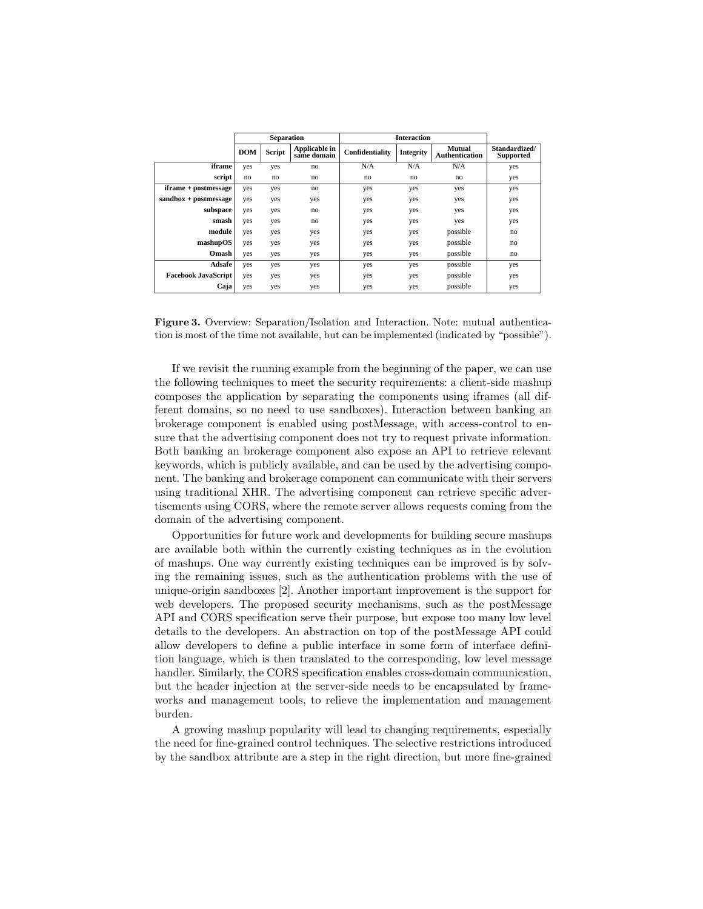|                            | <b>Separation</b> |               |                                     | <b>Interaction</b> |                  |                                 |                                   |
|----------------------------|-------------------|---------------|-------------------------------------|--------------------|------------------|---------------------------------|-----------------------------------|
|                            | <b>DOM</b>        | <b>Script</b> | <b>Applicable in</b><br>same domain | Confidentiality    | <b>Integrity</b> | Mutual<br><b>Authentication</b> | Standardized/<br><b>Supported</b> |
| iframe                     | yes               | yes           | no                                  | N/A                | N/A              | N/A                             | yes                               |
| script                     | no                | no            | no                                  | no                 | no               | no                              | yes                               |
| iframe + postmessage       | yes               | yes           | no                                  | yes                | yes              | yes                             | yes                               |
| sandbox + postmessage      | yes               | yes           | yes                                 | yes                | yes              | yes                             | yes                               |
| subspace                   | yes               | yes           | no                                  | yes                | yes              | yes                             | yes                               |
| smash                      | yes               | yes           | no                                  | yes                | yes              | yes                             | yes                               |
| module                     | yes               | yes           | yes                                 | yes                | yes              | possible                        | no                                |
| mashupOS                   | yes               | yes           | yes                                 | yes                | yes              | possible                        | no                                |
| Omash                      | yes               | yes           | yes                                 | yes                | yes              | possible                        | no                                |
| Adsafe                     | yes               | yes           | yes                                 | yes                | yes              | possible                        | yes                               |
| <b>Facebook JavaScript</b> | yes               | yes           | yes                                 | yes                | yes              | possible                        | yes                               |
| Caja                       | yes               | yes           | yes                                 | yes                | yes              | possible                        | yes                               |

Figure 3. Overview: Separation/Isolation and Interaction. Note: mutual authentication is most of the time not available, but can be implemented (indicated by "possible").

If we revisit the running example from the beginning of the paper, we can use the following techniques to meet the security requirements: a client-side mashup composes the application by separating the components using iframes (all different domains, so no need to use sandboxes). Interaction between banking an brokerage component is enabled using postMessage, with access-control to ensure that the advertising component does not try to request private information. Both banking an brokerage component also expose an API to retrieve relevant keywords, which is publicly available, and can be used by the advertising component. The banking and brokerage component can communicate with their servers using traditional XHR. The advertising component can retrieve specific advertisements using CORS, where the remote server allows requests coming from the domain of the advertising component.

Opportunities for future work and developments for building secure mashups are available both within the currently existing techniques as in the evolution of mashups. One way currently existing techniques can be improved is by solving the remaining issues, such as the authentication problems with the use of unique-origin sandboxes [2]. Another important improvement is the support for web developers. The proposed security mechanisms, such as the postMessage API and CORS specification serve their purpose, but expose too many low level details to the developers. An abstraction on top of the postMessage API could allow developers to define a public interface in some form of interface definition language, which is then translated to the corresponding, low level message handler. Similarly, the CORS specification enables cross-domain communication, but the header injection at the server-side needs to be encapsulated by frameworks and management tools, to relieve the implementation and management burden.

A growing mashup popularity will lead to changing requirements, especially the need for fine-grained control techniques. The selective restrictions introduced by the sandbox attribute are a step in the right direction, but more fine-grained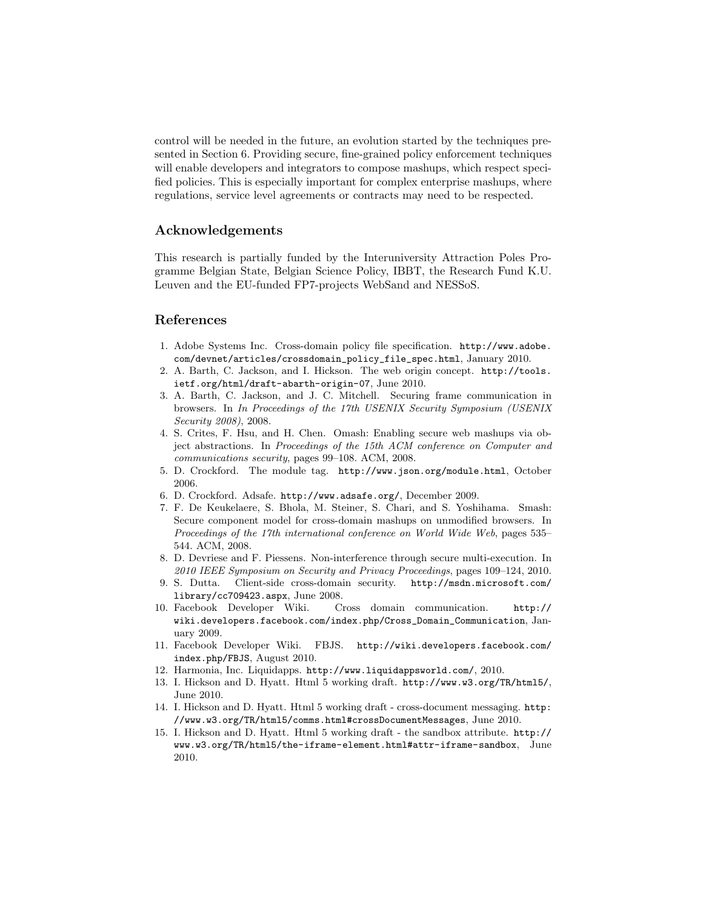control will be needed in the future, an evolution started by the techniques presented in Section 6. Providing secure, fine-grained policy enforcement techniques will enable developers and integrators to compose mashups, which respect specified policies. This is especially important for complex enterprise mashups, where regulations, service level agreements or contracts may need to be respected.

# Acknowledgements

This research is partially funded by the Interuniversity Attraction Poles Programme Belgian State, Belgian Science Policy, IBBT, the Research Fund K.U. Leuven and the EU-funded FP7-projects WebSand and NESSoS.

# References

- 1. Adobe Systems Inc. Cross-domain policy file specification. http://www.adobe. com/devnet/articles/crossdomain\_policy\_file\_spec.html, January 2010.
- 2. A. Barth, C. Jackson, and I. Hickson. The web origin concept. http://tools. ietf.org/html/draft-abarth-origin-07, June 2010.
- 3. A. Barth, C. Jackson, and J. C. Mitchell. Securing frame communication in browsers. In In Proceedings of the 17th USENIX Security Symposium (USENIX Security 2008), 2008.
- 4. S. Crites, F. Hsu, and H. Chen. Omash: Enabling secure web mashups via object abstractions. In Proceedings of the 15th ACM conference on Computer and communications security, pages 99–108. ACM, 2008.
- 5. D. Crockford. The module tag. http://www.json.org/module.html, October 2006.
- 6. D. Crockford. Adsafe. http://www.adsafe.org/, December 2009.
- 7. F. De Keukelaere, S. Bhola, M. Steiner, S. Chari, and S. Yoshihama. Smash: Secure component model for cross-domain mashups on unmodified browsers. In Proceedings of the 17th international conference on World Wide Web, pages 535– 544. ACM, 2008.
- 8. D. Devriese and F. Piessens. Non-interference through secure multi-execution. In 2010 IEEE Symposium on Security and Privacy Proceedings, pages 109–124, 2010.
- 9. S. Dutta. Client-side cross-domain security. http://msdn.microsoft.com/ library/cc709423.aspx, June 2008.
- 10. Facebook Developer Wiki. Cross domain communication. http:// wiki.developers.facebook.com/index.php/Cross\_Domain\_Communication, January 2009.
- 11. Facebook Developer Wiki. FBJS. http://wiki.developers.facebook.com/ index.php/FBJS, August 2010.
- 12. Harmonia, Inc. Liquidapps. http://www.liquidappsworld.com/, 2010.
- 13. I. Hickson and D. Hyatt. Html 5 working draft. http://www.w3.org/TR/html5/, June 2010.
- 14. I. Hickson and D. Hyatt. Html 5 working draft cross-document messaging. http: //www.w3.org/TR/html5/comms.html#crossDocumentMessages, June 2010.
- 15. I. Hickson and D. Hyatt. Html 5 working draft the sandbox attribute. http:// www.w3.org/TR/html5/the-iframe-element.html#attr-iframe-sandbox, June 2010.